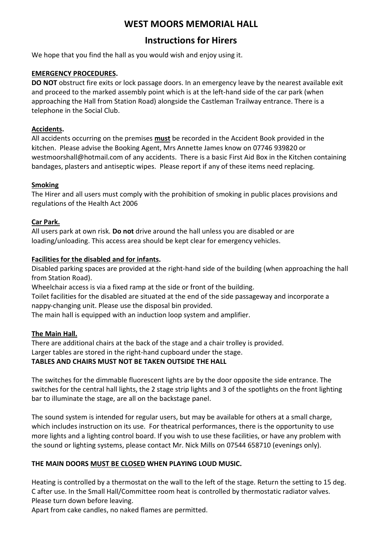# WEST MOORS MEMORIAL HALL

# Instructions for Hirers

We hope that you find the hall as you would wish and enjoy using it.

## EMERGENCY PROCEDURES.

DO NOT obstruct fire exits or lock passage doors. In an emergency leave by the nearest available exit and proceed to the marked assembly point which is at the left-hand side of the car park (when approaching the Hall from Station Road) alongside the Castleman Trailway entrance. There is a telephone in the Social Club.

## Accidents.

All accidents occurring on the premises must be recorded in the Accident Book provided in the kitchen. Please advise the Booking Agent, Mrs Annette James know on 07746 939820 or westmoorshall@hotmail.com of any accidents. There is a basic First Aid Box in the Kitchen containing bandages, plasters and antiseptic wipes. Please report if any of these items need replacing.

## Smoking

The Hirer and all users must comply with the prohibition of smoking in public places provisions and regulations of the Health Act 2006

## Car Park.

All users park at own risk. Do not drive around the hall unless you are disabled or are loading/unloading. This access area should be kept clear for emergency vehicles.

### Facilities for the disabled and for infants.

Disabled parking spaces are provided at the right-hand side of the building (when approaching the hall from Station Road).

Wheelchair access is via a fixed ramp at the side or front of the building.

Toilet facilities for the disabled are situated at the end of the side passageway and incorporate a nappy-changing unit. Please use the disposal bin provided.

The main hall is equipped with an induction loop system and amplifier.

### The Main Hall.

There are additional chairs at the back of the stage and a chair trolley is provided. Larger tables are stored in the right-hand cupboard under the stage. TABLES AND CHAIRS MUST NOT BE TAKEN OUTSIDE THE HALL

The switches for the dimmable fluorescent lights are by the door opposite the side entrance. The switches for the central hall lights, the 2 stage strip lights and 3 of the spotlights on the front lighting bar to illuminate the stage, are all on the backstage panel.

The sound system is intended for regular users, but may be available for others at a small charge, which includes instruction on its use. For theatrical performances, there is the opportunity to use more lights and a lighting control board. If you wish to use these facilities, or have any problem with the sound or lighting systems, please contact Mr. Nick Mills on 07544 658710 (evenings only).

# THE MAIN DOORS MUST BE CLOSED WHEN PLAYING LOUD MUSIC.

Heating is controlled by a thermostat on the wall to the left of the stage. Return the setting to 15 deg. C after use. In the Small Hall/Committee room heat is controlled by thermostatic radiator valves. Please turn down before leaving.

Apart from cake candles, no naked flames are permitted.